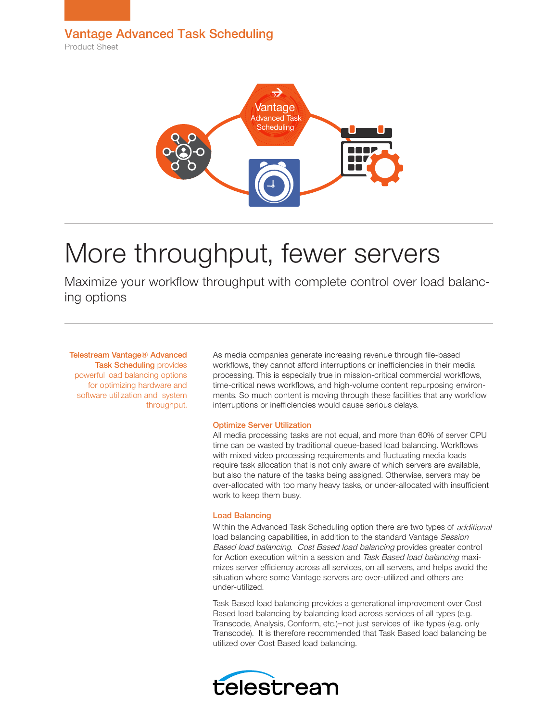Product Sheet



# More throughput, fewer servers

Maximize your workflow throughput with complete control over load balancing options

Telestream Vantage® Advanced **Task Scheduling provides** powerful load balancing options for optimizing hardware and software utilization and system throughput.

As media companies generate increasing revenue through file-based workflows, they cannot afford interruptions or inefficiencies in their media processing. This is especially true in mission-critical commercial workflows, time-critical news workflows, and high-volume content repurposing environments. So much content is moving through these facilities that any workflow interruptions or inefficiencies would cause serious delays.

# Optimize Server Utilization

All media processing tasks are not equal, and more than 60% of server CPU time can be wasted by traditional queue-based load balancing. Workflows with mixed video processing requirements and fluctuating media loads require task allocation that is not only aware of which servers are available, but also the nature of the tasks being assigned. Otherwise, servers may be over-allocated with too many heavy tasks, or under-allocated with insufficient work to keep them busy.

# Load Balancing

Within the Advanced Task Scheduling option there are two types of *additional* load balancing capabilities, in addition to the standard Vantage Session Based load balancing. Cost Based load balancing provides greater control for Action execution within a session and Task Based load balancing maximizes server efficiency across all services, on all servers, and helps avoid the situation where some Vantage servers are over-utilized and others are under-utilized.

Task Based load balancing provides a generational improvement over Cost Based load balancing by balancing load across services of all types (e.g. Transcode, Analysis, Conform, etc.)—not just services of like types (e.g. only Transcode). It is therefore recommended that Task Based load balancing be utilized over Cost Based load balancing.